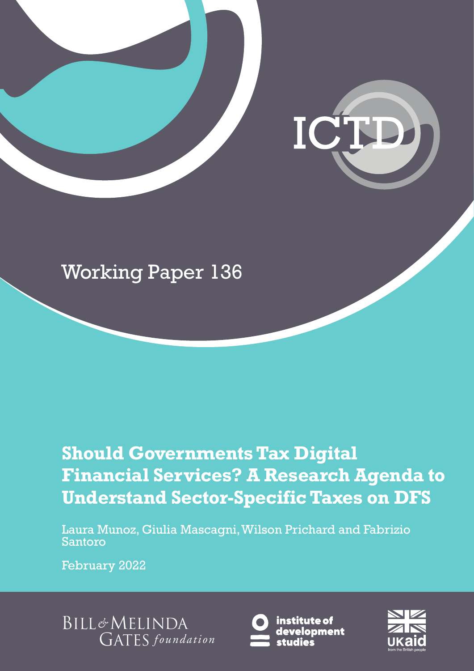

## Working Paper 136

## **Should Governments Tax Digital Financial Services? A Research Agenda to Understand Sector-Specific Taxes on DFS**

Laura Munoz, Giulia Mascagni, Wilson Prichard and Fabrizio Santoro

February 2022

**BILL&MELINDA GATES** foundation



institute of development

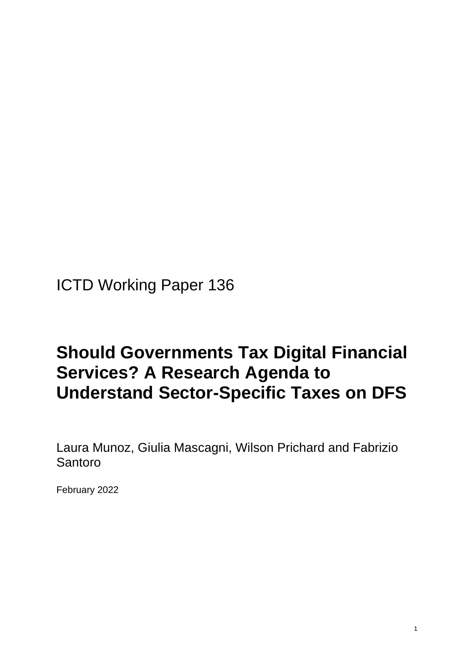ICTD Working Paper 136

### **Should Governments Tax Digital Financial Services? A Research Agenda to Understand Sector-Specific Taxes on DFS**

Laura Munoz, Giulia Mascagni, Wilson Prichard and Fabrizio Santoro

February 2022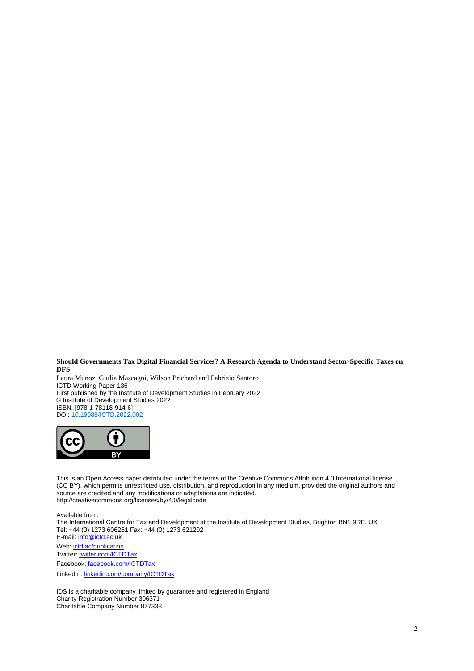#### **Should Governments Tax Digital Financial Services? A Research Agenda to Understand Sector-Specific Taxes on DFS**

Laura Munoz, Giulia Mascagni, Wilson Prichard and Fabrizio Santoro ICTD Working Paper 136 First published by the Institute of Development Studies in February 2022 © Institute of Development Studies 2022 ISBN: [978-1-78118-914-6] DOI[: 10.19088/ICTD.2022.002](https://eur02.safelinks.protection.outlook.com/?url=https%3A%2F%2Fdoi.org%2F10.19088%2FICTD.2022.002&data=04%7C01%7CD.Szpotowicz%40ids.ac.uk%7Cd89a8502ab564ea5a10108d9e0b2a498%7Ce78be64af7754a2e9ec85e66e224b88f%7C0%7C0%7C637787880132816329%7CUnknown%7CTWFpbGZsb3d8eyJWIjoiMC4wLjAwMDAiLCJQIjoiV2luMzIiLCJBTiI6Ik1haWwiLCJXVCI6Mn0%3D%7C3000&sdata=ISOkv9YOw%2F8ch9nDXJ3C5vnv7SpOL7XrGTDjrZPGJYc%3D&reserved=0)



This is an Open Access paper distributed under the terms of the Creative Commons Attribution 4.0 International license (CC BY), which permits unrestricted use, distribution, and reproduction in any medium, provided the original authors and source are credited and any modifications or adaptations are indicated. http://creativecommons.org/licenses/by/4.0/legalcode

Available from:

The International Centre for Tax and Development at the Institute of Development Studies, Brighton BN1 9RE, UK Tel: +44 (0) 1273 606261 Fax: +44 (0) 1273 621202 E-mail: [info@ictd.ac.uk](mailto:info@ictd.ac.uk) Web: [ictd.ac/publication](https://www.ictd.ac/publication/) Twitter: [twitter.com/ICTDTax](https://twitter.com/ICTDTax) Facebook: [facebook.com/ICTDTax](http://www.facebook.com/ICTDTax)

LinkedIn: [linkedin.com/company/ICTDTax](https://www.linkedin.com/company/ictdtax)

IDS is a charitable company limited by guarantee and registered in England Charity Registration Number 306371 Charitable Company Number 877338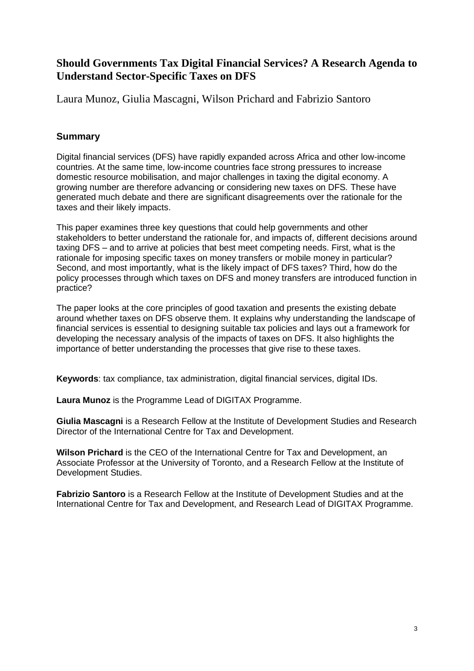#### **Should Governments Tax Digital Financial Services? A Research Agenda to Understand Sector-Specific Taxes on DFS**

Laura Munoz, Giulia Mascagni, Wilson Prichard and Fabrizio Santoro

#### **Summary**

Digital financial services (DFS) have rapidly expanded across Africa and other low-income countries. At the same time, low-income countries face strong pressures to increase domestic resource mobilisation, and major challenges in taxing the digital economy. A growing number are therefore advancing or considering new taxes on DFS*.* These have generated much debate and there are significant disagreements over the rationale for the taxes and their likely impacts.

This paper examines three key questions that could help governments and other stakeholders to better understand the rationale for, and impacts of, different decisions around taxing DFS – and to arrive at policies that best meet competing needs. First, what is the rationale for imposing specific taxes on money transfers or mobile money in particular? Second, and most importantly, what is the likely impact of DFS taxes? Third, how do the policy processes through which taxes on DFS and money transfers are introduced function in practice?

The paper looks at the core principles of good taxation and presents the existing debate around whether taxes on DFS observe them. It explains why understanding the landscape of financial services is essential to designing suitable tax policies and lays out a framework for developing the necessary analysis of the impacts of taxes on DFS. It also highlights the importance of better understanding the processes that give rise to these taxes.

**Keywords**: tax compliance, tax administration, digital financial services, digital IDs.

**Laura Munoz** is the Programme Lead of DIGITAX Programme.

**Giulia Mascagni** is a Research Fellow at the Institute of Development Studies and Research Director of the International Centre for Tax and Development.

**Wilson Prichard** is the CEO of the International Centre for Tax and Development, an Associate Professor at the University of Toronto, and a Research Fellow at the Institute of Development Studies.

**Fabrizio Santoro** is a Research Fellow at the Institute of Development Studies and at the International Centre for Tax and Development, and Research Lead of DIGITAX Programme.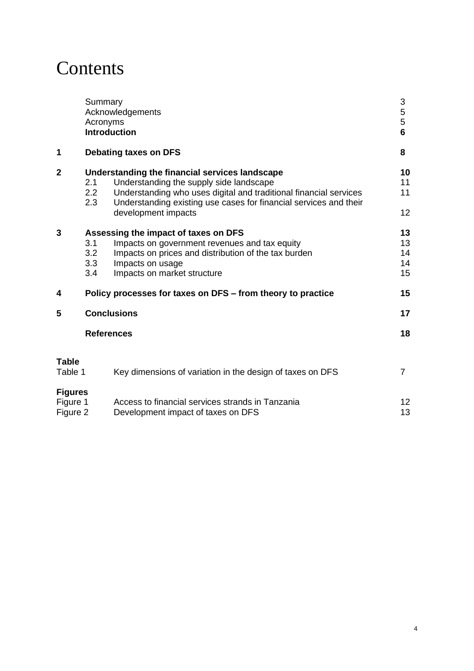### **Contents**

|                                        | Summary<br>Acronyms      | Acknowledgements<br><b>Introduction</b>                                                                                                                                                                                                                    | 3<br>5<br>5<br>6           |
|----------------------------------------|--------------------------|------------------------------------------------------------------------------------------------------------------------------------------------------------------------------------------------------------------------------------------------------------|----------------------------|
| 1                                      |                          | Debating taxes on DFS                                                                                                                                                                                                                                      | 8                          |
| $\overline{2}$                         | 2.1<br>2.2<br>2.3        | Understanding the financial services landscape<br>Understanding the supply side landscape<br>Understanding who uses digital and traditional financial services<br>Understanding existing use cases for financial services and their<br>development impacts | 10<br>11<br>11<br>12       |
| 3                                      | 3.1<br>3.2<br>3.3<br>3.4 | Assessing the impact of taxes on DFS<br>Impacts on government revenues and tax equity<br>Impacts on prices and distribution of the tax burden<br>Impacts on usage<br>Impacts on market structure                                                           | 13<br>13<br>14<br>14<br>15 |
| 4                                      |                          | Policy processes for taxes on DFS – from theory to practice                                                                                                                                                                                                | 15                         |
| 5                                      |                          | <b>Conclusions</b>                                                                                                                                                                                                                                         | 17                         |
|                                        |                          | <b>References</b>                                                                                                                                                                                                                                          | 18                         |
| <b>Table</b><br>Table 1                |                          | Key dimensions of variation in the design of taxes on DFS                                                                                                                                                                                                  | $\overline{7}$             |
| <b>Figures</b><br>Figure 1<br>Figure 2 |                          | Access to financial services strands in Tanzania<br>Development impact of taxes on DFS                                                                                                                                                                     | 12<br>13                   |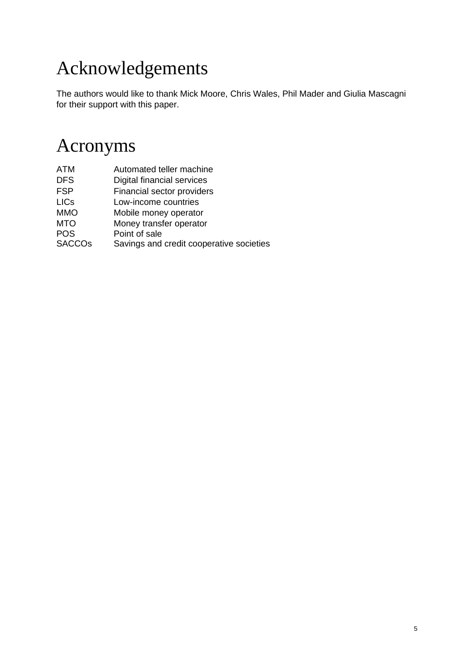## Acknowledgements

The authors would like to thank Mick Moore, Chris Wales, Phil Mader and Giulia Mascagni for their support with this paper.

### Acronyms

| <b>ATM</b>    | Automated teller machine                 |
|---------------|------------------------------------------|
| <b>DFS</b>    | Digital financial services               |
| <b>FSP</b>    | Financial sector providers               |
| <b>LICs</b>   | Low-income countries                     |
| <b>MMO</b>    | Mobile money operator                    |
| <b>MTO</b>    | Money transfer operator                  |
| <b>POS</b>    | Point of sale                            |
| <b>SACCOs</b> | Savings and credit cooperative societies |
|               |                                          |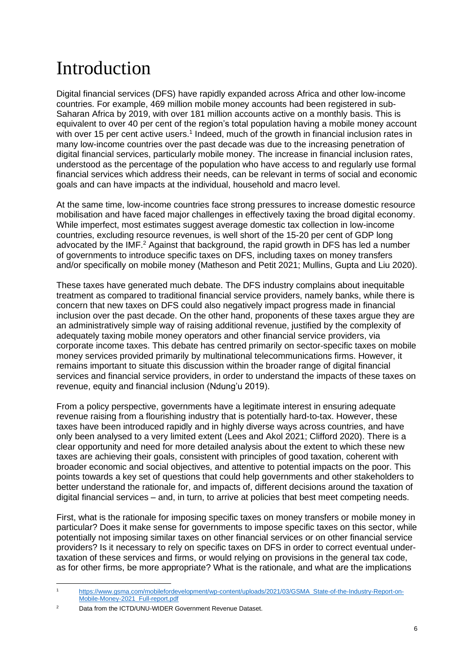## Introduction

Digital financial services (DFS) have rapidly expanded across Africa and other low-income countries. For example, 469 million mobile money accounts had been registered in sub-Saharan Africa by 2019, with over 181 million accounts active on a monthly basis. This is equivalent to over 40 per cent of the region's total population having a mobile money account with over 15 per cent active users.<sup>1</sup> Indeed, much of the growth in financial inclusion rates in many low-income countries over the past decade was due to the increasing penetration of digital financial services, particularly mobile money. The increase in financial inclusion rates, understood as the percentage of the population who have access to and regularly use formal financial services which address their needs, can be relevant in terms of social and economic goals and can have impacts at the individual, household and macro level.

At the same time, low-income countries face strong pressures to increase domestic resource mobilisation and have faced major challenges in effectively taxing the broad digital economy. While imperfect, most estimates suggest average domestic tax collection in low-income countries, excluding resource revenues, is well short of the 15-20 per cent of GDP long advocated by the IMF.<sup>2</sup> Against that background, the rapid growth in DFS has led a number of governments to introduce specific taxes on DFS, including taxes on money transfers and/or specifically on mobile money (Matheson and Petit 2021; Mullins, Gupta and Liu 2020).

These taxes have generated much debate. The DFS industry complains about inequitable treatment as compared to traditional financial service providers, namely banks, while there is concern that new taxes on DFS could also negatively impact progress made in financial inclusion over the past decade. On the other hand, proponents of these taxes argue they are an administratively simple way of raising additional revenue, justified by the complexity of adequately taxing mobile money operators and other financial service providers, via corporate income taxes. This debate has centred primarily on sector-specific taxes on mobile money services provided primarily by multinational telecommunications firms. However, it remains important to situate this discussion within the broader range of digital financial services and financial service providers, in order to understand the impacts of these taxes on revenue, equity and financial inclusion (Ndung'u 2019).

From a policy perspective, governments have a legitimate interest in ensuring adequate revenue raising from a flourishing industry that is potentially hard-to-tax. However, these taxes have been introduced rapidly and in highly diverse ways across countries, and have only been analysed to a very limited extent (Lees and Akol 2021; Clifford 2020). There is a clear opportunity and need for more detailed analysis about the extent to which these new taxes are achieving their goals, consistent with principles of good taxation, coherent with broader economic and social objectives, and attentive to potential impacts on the poor. This points towards a key set of questions that could help governments and other stakeholders to better understand the rationale for, and impacts of, different decisions around the taxation of digital financial services – and, in turn, to arrive at policies that best meet competing needs.

First, what is the rationale for imposing specific taxes on money transfers or mobile money in particular? Does it make sense for governments to impose specific taxes on this sector, while potentially not imposing similar taxes on other financial services or on other financial service providers? Is it necessary to rely on specific taxes on DFS in order to correct eventual undertaxation of these services and firms, or would relying on provisions in the general tax code, as for other firms, be more appropriate? What is the rationale, and what are the implications

<sup>1</sup> [https://www.gsma.com/mobilefordevelopment/wp-content/uploads/2021/03/GSMA\\_State-of-the-Industry-Report-on-](https://www.gsma.com/mobilefordevelopment/wp-content/uploads/2021/03/GSMA_State-of-the-Industry-Report-on-Mobile-Money-2021_Full-report.pdf)[Mobile-Money-2021\\_Full-report.pdf](https://www.gsma.com/mobilefordevelopment/wp-content/uploads/2021/03/GSMA_State-of-the-Industry-Report-on-Mobile-Money-2021_Full-report.pdf)

<sup>2</sup> Data from the ICTD/UNU-WIDER Government Revenue Dataset.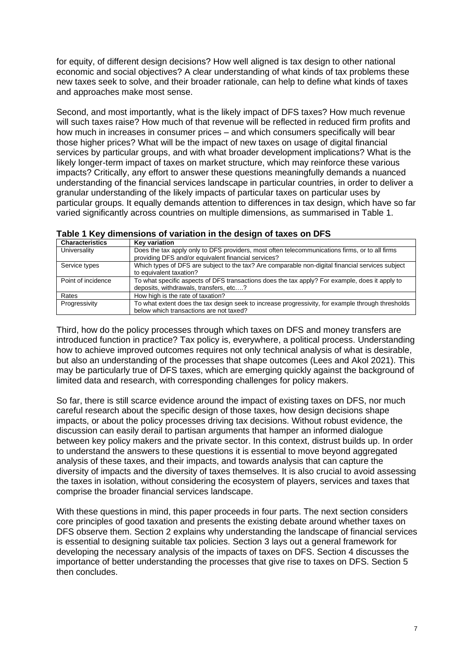for equity, of different design decisions? How well aligned is tax design to other national economic and social objectives? A clear understanding of what kinds of tax problems these new taxes seek to solve, and their broader rationale, can help to define what kinds of taxes and approaches make most sense.

Second, and most importantly, what is the likely impact of DFS taxes? How much revenue will such taxes raise? How much of that revenue will be reflected in reduced firm profits and how much in increases in consumer prices – and which consumers specifically will bear those higher prices? What will be the impact of new taxes on usage of digital financial services by particular groups, and with what broader development implications? What is the likely longer-term impact of taxes on market structure, which may reinforce these various impacts? Critically, any effort to answer these questions meaningfully demands a nuanced understanding of the financial services landscape in particular countries, in order to deliver a granular understanding of the likely impacts of particular taxes on particular uses by particular groups. It equally demands attention to differences in tax design, which have so far varied significantly across countries on multiple dimensions, as summarised in Table 1.

| <b>Characteristics</b> | <b>Kev variation</b>                                                                                                                                  |  |  |
|------------------------|-------------------------------------------------------------------------------------------------------------------------------------------------------|--|--|
| Universality           | Does the tax apply only to DFS providers, most often telecommunications firms, or to all firms<br>providing DFS and/or equivalent financial services? |  |  |
| Service types          | Which types of DFS are subject to the tax? Are comparable non-digital financial services subject<br>to equivalent taxation?                           |  |  |
| Point of incidence     | To what specific aspects of DFS transactions does the tax apply? For example, does it apply to<br>deposits, withdrawals, transfers, etc?              |  |  |
| Rates                  | How high is the rate of taxation?                                                                                                                     |  |  |
| Progressivity          | To what extent does the tax design seek to increase progressivity, for example through thresholds<br>below which transactions are not taxed?          |  |  |

#### **Table 1 Key dimensions of variation in the design of taxes on DFS**

Third, how do the policy processes through which taxes on DFS and money transfers are introduced function in practice? Tax policy is, everywhere, a political process. Understanding how to achieve improved outcomes requires not only technical analysis of what is desirable, but also an understanding of the processes that shape outcomes (Lees and Akol 2021). This may be particularly true of DFS taxes, which are emerging quickly against the background of limited data and research, with corresponding challenges for policy makers.

So far, there is still scarce evidence around the impact of existing taxes on DFS, nor much careful research about the specific design of those taxes, how design decisions shape impacts, or about the policy processes driving tax decisions. Without robust evidence, the discussion can easily derail to partisan arguments that hamper an informed dialogue between key policy makers and the private sector. In this context, distrust builds up. In order to understand the answers to these questions it is essential to move beyond aggregated analysis of these taxes, and their impacts, and towards analysis that can capture the diversity of impacts and the diversity of taxes themselves. It is also crucial to avoid assessing the taxes in isolation, without considering the ecosystem of players, services and taxes that comprise the broader financial services landscape.

With these questions in mind, this paper proceeds in four parts. The next section considers core principles of good taxation and presents the existing debate around whether taxes on DFS observe them. Section 2 explains why understanding the landscape of financial services is essential to designing suitable tax policies. Section 3 lays out a general framework for developing the necessary analysis of the impacts of taxes on DFS. Section 4 discusses the importance of better understanding the processes that give rise to taxes on DFS. Section 5 then concludes.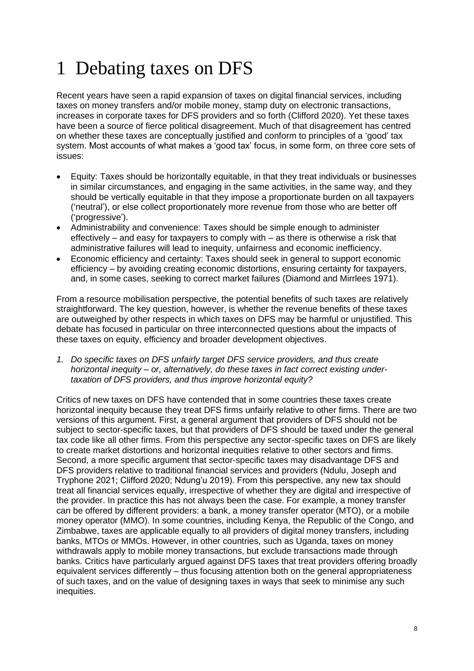# 1 Debating taxes on DFS

Recent years have seen a rapid expansion of taxes on digital financial services, including taxes on money transfers and/or mobile money, stamp duty on electronic transactions, increases in corporate taxes for DFS providers and so forth (Clifford 2020). Yet these taxes have been a source of fierce political disagreement. Much of that disagreement has centred on whether these taxes are conceptually justified and conform to principles of a 'good' tax system. Most accounts of what makes a 'good tax' focus, in some form, on three core sets of issues:

- Equity: Taxes should be horizontally equitable, in that they treat individuals or businesses in similar circumstances, and engaging in the same activities, in the same way, and they should be vertically equitable in that they impose a proportionate burden on all taxpayers ('neutral'), or else collect proportionately more revenue from those who are better off ('progressive').
- Administrability and convenience: Taxes should be simple enough to administer effectively – and easy for taxpayers to comply with – as there is otherwise a risk that administrative failures will lead to inequity, unfairness and economic inefficiency.
- Economic efficiency and certainty: Taxes should seek in general to support economic efficiency – by avoiding creating economic distortions, ensuring certainty for taxpayers, and, in some cases, seeking to correct market failures (Diamond and Mirrlees 1971).

From a resource mobilisation perspective, the potential benefits of such taxes are relatively straightforward. The key question, however, is whether the revenue benefits of these taxes are outweighed by other respects in which taxes on DFS may be harmful or unjustified. This debate has focused in particular on three interconnected questions about the impacts of these taxes on equity, efficiency and broader development objectives.

*1. Do specific taxes on DFS unfairly target DFS service providers, and thus create horizontal inequity – or, alternatively, do these taxes in fact correct existing undertaxation of DFS providers, and thus improve horizontal equity?*

Critics of new taxes on DFS have contended that in some countries these taxes create horizontal inequity because they treat DFS firms unfairly relative to other firms. There are two versions of this argument. First, a general argument that providers of DFS should not be subject to sector-specific taxes, but that providers of DFS should be taxed under the general tax code like all other firms. From this perspective any sector-specific taxes on DFS are likely to create market distortions and horizontal inequities relative to other sectors and firms. Second, a more specific argument that sector-specific taxes may disadvantage DFS and DFS providers relative to traditional financial services and providers (Ndulu, Joseph and Tryphone 2021; Clifford 2020; Ndung'u 2019). From this perspective, any new tax should treat all financial services equally, irrespective of whether they are digital and irrespective of the provider. In practice this has not always been the case. For example, a money transfer can be offered by different providers: a bank, a money transfer operator (MTO), or a mobile money operator (MMO). In some countries, including Kenya, the Republic of the Congo, and Zimbabwe, taxes are applicable equally to all providers of digital money transfers, including banks, MTOs or MMOs. However, in other countries, such as Uganda, taxes on money withdrawals apply to mobile money transactions, but exclude transactions made through banks. Critics have particularly argued against DFS taxes that treat providers offering broadly equivalent services differently – thus focusing attention both on the general appropriateness of such taxes, and on the value of designing taxes in ways that seek to minimise any such inequities.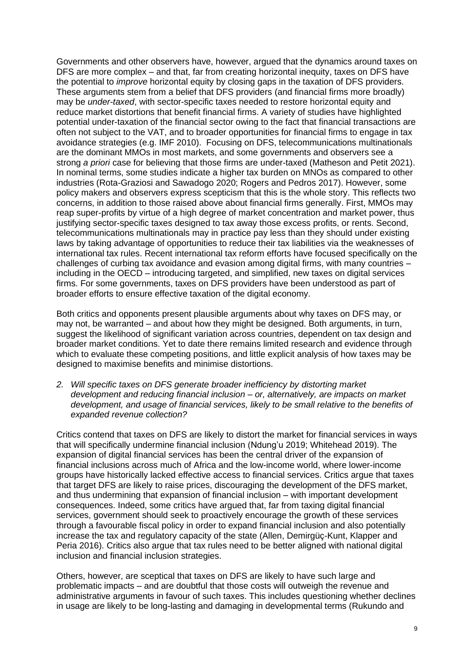Governments and other observers have, however, argued that the dynamics around taxes on DFS are more complex – and that, far from creating horizontal inequity, taxes on DFS have the potential to *improve* horizontal equity by closing gaps in the taxation of DFS providers. These arguments stem from a belief that DFS providers (and financial firms more broadly) may be *under-taxed*, with sector-specific taxes needed to restore horizontal equity and reduce market distortions that benefit financial firms. A variety of studies have highlighted potential under-taxation of the financial sector owing to the fact that financial transactions are often not subject to the VAT, and to broader opportunities for financial firms to engage in tax avoidance strategies (e.g. IMF 2010). Focusing on DFS, telecommunications multinationals are the dominant MMOs in most markets, and some governments and observers see a strong *a priori* case for believing that those firms are under-taxed (Matheson and Petit 2021). In nominal terms, some studies indicate a higher tax burden on MNOs as compared to other industries (Rota-Graziosi and Sawadogo 2020; Rogers and Pedros 2017). However, some policy makers and observers express scepticism that this is the whole story. This reflects two concerns, in addition to those raised above about financial firms generally. First, MMOs may reap super-profits by virtue of a high degree of market concentration and market power, thus justifying sector-specific taxes designed to tax away those excess profits, or rents. Second, telecommunications multinationals may in practice pay less than they should under existing laws by taking advantage of opportunities to reduce their tax liabilities via the weaknesses of international tax rules. Recent international tax reform efforts have focused specifically on the challenges of curbing tax avoidance and evasion among digital firms, with many countries – including in the OECD – introducing targeted, and simplified, new taxes on digital services firms. For some governments, taxes on DFS providers have been understood as part of broader efforts to ensure effective taxation of the digital economy.

Both critics and opponents present plausible arguments about why taxes on DFS may, or may not, be warranted – and about how they might be designed. Both arguments, in turn, suggest the likelihood of significant variation across countries, dependent on tax design and broader market conditions. Yet to date there remains limited research and evidence through which to evaluate these competing positions, and little explicit analysis of how taxes may be designed to maximise benefits and minimise distortions.

*2. Will specific taxes on DFS generate broader inefficiency by distorting market development and reducing financial inclusion – or, alternatively, are impacts on market development, and usage of financial services, likely to be small relative to the benefits of expanded revenue collection?*

Critics contend that taxes on DFS are likely to distort the market for financial services in ways that will specifically undermine financial inclusion (Ndung'u 2019; Whitehead 2019). The expansion of digital financial services has been the central driver of the expansion of financial inclusions across much of Africa and the low-income world, where lower-income groups have historically lacked effective access to financial services. Critics argue that taxes that target DFS are likely to raise prices, discouraging the development of the DFS market, and thus undermining that expansion of financial inclusion – with important development consequences. Indeed, some critics have argued that, far from taxing digital financial services, government should seek to proactively encourage the growth of these services through a favourable fiscal policy in order to expand financial inclusion and also potentially increase the tax and regulatory capacity of the state (Allen, Demirgüç-Kunt, Klapper and Peria 2016). Critics also argue that tax rules need to be better aligned with national digital inclusion and financial inclusion strategies.

Others, however, are sceptical that taxes on DFS are likely to have such large and problematic impacts – and are doubtful that those costs will outweigh the revenue and administrative arguments in favour of such taxes. This includes questioning whether declines in usage are likely to be long-lasting and damaging in developmental terms (Rukundo and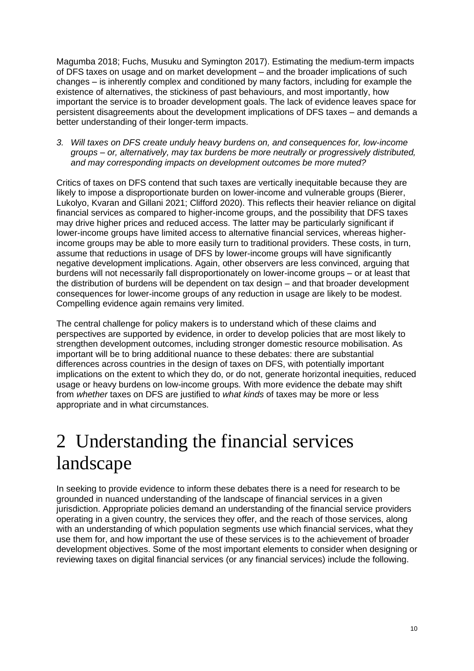Magumba 2018; Fuchs, Musuku and Symington 2017). Estimating the medium-term impacts of DFS taxes on usage and on market development – and the broader implications of such changes – is inherently complex and conditioned by many factors, including for example the existence of alternatives, the stickiness of past behaviours, and most importantly, how important the service is to broader development goals. The lack of evidence leaves space for persistent disagreements about the development implications of DFS taxes – and demands a better understanding of their longer-term impacts.

*3. Will taxes on DFS create unduly heavy burdens on, and consequences for, low-income groups – or, alternatively, may tax burdens be more neutrally or progressively distributed, and may corresponding impacts on development outcomes be more muted?*

Critics of taxes on DFS contend that such taxes are vertically inequitable because they are likely to impose a disproportionate burden on lower-income and vulnerable groups (Bierer, Lukolyo, Kvaran and Gillani 2021; Clifford 2020). This reflects their heavier reliance on digital financial services as compared to higher-income groups, and the possibility that DFS taxes may drive higher prices and reduced access. The latter may be particularly significant if lower-income groups have limited access to alternative financial services, whereas higherincome groups may be able to more easily turn to traditional providers. These costs, in turn, assume that reductions in usage of DFS by lower-income groups will have significantly negative development implications. Again, other observers are less convinced, arguing that burdens will not necessarily fall disproportionately on lower-income groups – or at least that the distribution of burdens will be dependent on tax design – and that broader development consequences for lower-income groups of any reduction in usage are likely to be modest. Compelling evidence again remains very limited.

The central challenge for policy makers is to understand which of these claims and perspectives are supported by evidence, in order to develop policies that are most likely to strengthen development outcomes, including stronger domestic resource mobilisation. As important will be to bring additional nuance to these debates: there are substantial differences across countries in the design of taxes on DFS, with potentially important implications on the extent to which they do, or do not, generate horizontal inequities, reduced usage or heavy burdens on low-income groups. With more evidence the debate may shift from *whether* taxes on DFS are justified to *what kinds* of taxes may be more or less appropriate and in what circumstances.

## 2 Understanding the financial services landscape

In seeking to provide evidence to inform these debates there is a need for research to be grounded in nuanced understanding of the landscape of financial services in a given jurisdiction. Appropriate policies demand an understanding of the financial service providers operating in a given country, the services they offer, and the reach of those services, along with an understanding of which population segments use which financial services, what they use them for, and how important the use of these services is to the achievement of broader development objectives. Some of the most important elements to consider when designing or reviewing taxes on digital financial services (or any financial services) include the following.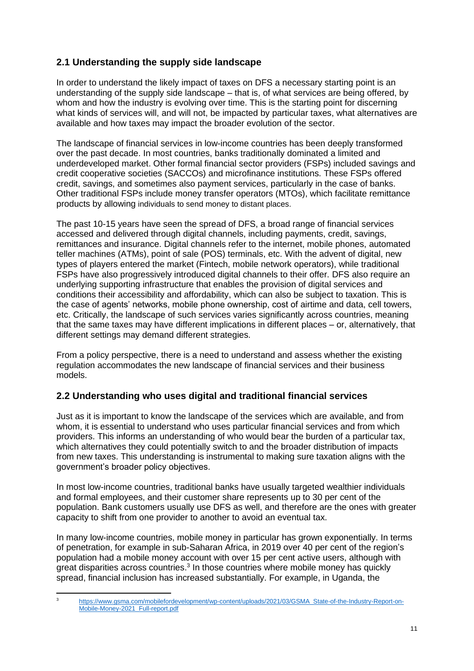#### **2.1 Understanding the supply side landscape**

In order to understand the likely impact of taxes on DFS a necessary starting point is an understanding of the supply side landscape – that is, of what services are being offered, by whom and how the industry is evolving over time. This is the starting point for discerning what kinds of services will, and will not, be impacted by particular taxes, what alternatives are available and how taxes may impact the broader evolution of the sector.

The landscape of financial services in low-income countries has been deeply transformed over the past decade. In most countries, banks traditionally dominated a limited and underdeveloped market. Other formal financial sector providers (FSPs) included savings and credit cooperative societies (SACCOs) and microfinance institutions. These FSPs offered credit, savings, and sometimes also payment services, particularly in the case of banks. Other traditional FSPs include money transfer operators (MTOs), which facilitate remittance products by allowing individuals to send money to distant places.

The past 10-15 years have seen the spread of DFS, a broad range of financial services accessed and delivered through digital channels, including payments, credit, savings, remittances and insurance. Digital channels refer to the internet, mobile phones, automated teller machines (ATMs), point of sale (POS) terminals, etc. With the advent of digital, new types of players entered the market (Fintech, mobile network operators), while traditional FSPs have also progressively introduced digital channels to their offer. DFS also require an underlying supporting infrastructure that enables the provision of digital services and conditions their accessibility and affordability, which can also be subject to taxation. This is the case of agents' networks, mobile phone ownership, cost of airtime and data, cell towers, etc. Critically, the landscape of such services varies significantly across countries, meaning that the same taxes may have different implications in different places – or, alternatively, that different settings may demand different strategies.

From a policy perspective, there is a need to understand and assess whether the existing regulation accommodates the new landscape of financial services and their business models.

#### **2.2 Understanding who uses digital and traditional financial services**

Just as it is important to know the landscape of the services which are available, and from whom, it is essential to understand who uses particular financial services and from which providers. This informs an understanding of who would bear the burden of a particular tax, which alternatives they could potentially switch to and the broader distribution of impacts from new taxes. This understanding is instrumental to making sure taxation aligns with the government's broader policy objectives.

In most low-income countries, traditional banks have usually targeted wealthier individuals and formal employees, and their customer share represents up to 30 per cent of the population. Bank customers usually use DFS as well, and therefore are the ones with greater capacity to shift from one provider to another to avoid an eventual tax.

In many low-income countries, mobile money in particular has grown exponentially. In terms of penetration, for example in sub-Saharan Africa, in 2019 over 40 per cent of the region's population had a mobile money account with over 15 per cent active users, although with great disparities across countries.<sup>3</sup> In those countries where mobile money has quickly spread, financial inclusion has increased substantially. For example, in Uganda, the

<sup>3</sup> [https://www.gsma.com/mobilefordevelopment/wp-content/uploads/2021/03/GSMA\\_State-of-the-Industry-Report-on-](https://www.gsma.com/mobilefordevelopment/wp-content/uploads/2021/03/GSMA_State-of-the-Industry-Report-on-Mobile-Money-2021_Full-report.pdf)[Mobile-Money-2021\\_Full-report.pdf](https://www.gsma.com/mobilefordevelopment/wp-content/uploads/2021/03/GSMA_State-of-the-Industry-Report-on-Mobile-Money-2021_Full-report.pdf)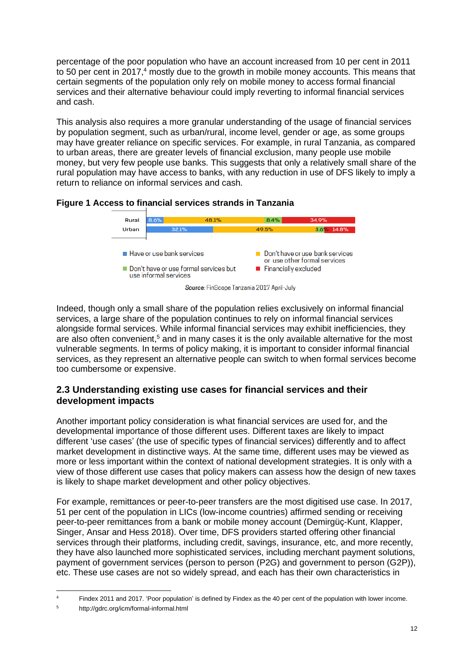percentage of the poor population who have an account increased from 10 per cent in 2011 to 50 per cent in 2017,<sup>4</sup> mostly due to the growth in mobile money accounts. This means that certain segments of the population only rely on mobile money to access formal financial services and their alternative behaviour could imply reverting to informal financial services and cash.

This analysis also requires a more granular understanding of the usage of financial services by population segment, such as urban/rural, income level, gender or age, as some groups may have greater reliance on specific services. For example, in rural Tanzania, as compared to urban areas, there are greater levels of financial exclusion, many people use mobile money, but very few people use banks. This suggests that only a relatively small share of the rural population may have access to banks, with any reduction in use of DFS likely to imply a return to reliance on informal services and cash.





Indeed, though only a small share of the population relies exclusively on informal financial services, a large share of the population continues to rely on informal financial services alongside formal services. While informal financial services may exhibit inefficiencies, they are also often convenient,<sup>5</sup> and in many cases it is the only available alternative for the most vulnerable segments. In terms of policy making, it is important to consider informal financial services, as they represent an alternative people can switch to when formal services become too cumbersome or expensive.

#### **2.3 Understanding existing use cases for financial services and their development impacts**

Another important policy consideration is what financial services are used for, and the developmental importance of those different uses. Different taxes are likely to impact different 'use cases' (the use of specific types of financial services) differently and to affect market development in distinctive ways. At the same time, different uses may be viewed as more or less important within the context of national development strategies. It is only with a view of those different use cases that policy makers can assess how the design of new taxes is likely to shape market development and other policy objectives.

For example, remittances or peer-to-peer transfers are the most digitised use case. In 2017, 51 per cent of the population in LICs (low-income countries) affirmed sending or receiving peer-to-peer remittances from a bank or mobile money account (Demirgüç-Kunt, Klapper, Singer, Ansar and Hess 2018). Over time, DFS providers started offering other financial services through their platforms, including credit, savings, insurance, etc, and more recently, they have also launched more sophisticated services, including merchant payment solutions, payment of government services (person to person (P2G) and government to person (G2P)), etc. These use cases are not so widely spread, and each has their own characteristics in

<sup>&</sup>lt;sup>4</sup> Findex 2011 and 2017. 'Poor population' is defined by Findex as the 40 per cent of the population with lower income.

<sup>5</sup> http://gdrc.org/icm/formal-informal.html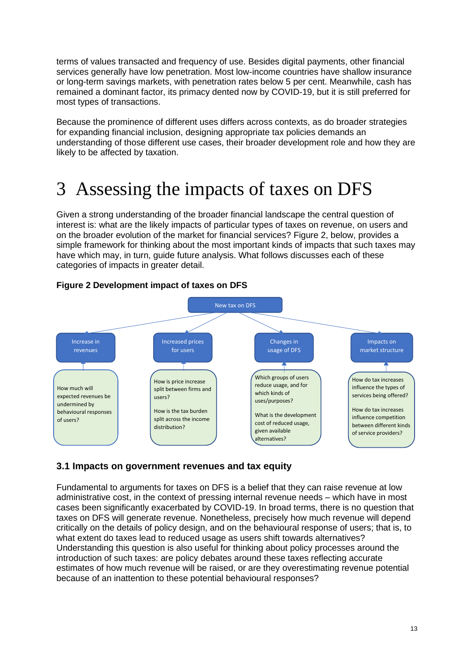terms of values transacted and frequency of use. Besides digital payments, other financial services generally have low penetration. Most low-income countries have shallow insurance or long-term savings markets, with penetration rates below 5 per cent. Meanwhile, cash has remained a dominant factor, its primacy dented now by COVID-19, but it is still preferred for most types of transactions.

Because the prominence of different uses differs across contexts, as do broader strategies for expanding financial inclusion, designing appropriate tax policies demands an understanding of those different use cases, their broader development role and how they are likely to be affected by taxation.

### 3 Assessing the impacts of taxes on DFS

Given a strong understanding of the broader financial landscape the central question of interest is: what are the likely impacts of particular types of taxes on revenue, on users and on the broader evolution of the market for financial services? Figure 2, below, provides a simple framework for thinking about the most important kinds of impacts that such taxes may have which may, in turn, guide future analysis. What follows discusses each of these categories of impacts in greater detail.



#### **Figure 2 Development impact of taxes on DFS**

### **3.1 Impacts on government revenues and tax equity**

Fundamental to arguments for taxes on DFS is a belief that they can raise revenue at low administrative cost, in the context of pressing internal revenue needs – which have in most cases been significantly exacerbated by COVID-19. In broad terms, there is no question that taxes on DFS will generate revenue. Nonetheless, precisely how much revenue will depend critically on the details of policy design, and on the behavioural response of users; that is, to what extent do taxes lead to reduced usage as users shift towards alternatives? Understanding this question is also useful for thinking about policy processes around the introduction of such taxes: are policy debates around these taxes reflecting accurate estimates of how much revenue will be raised, or are they overestimating revenue potential because of an inattention to these potential behavioural responses?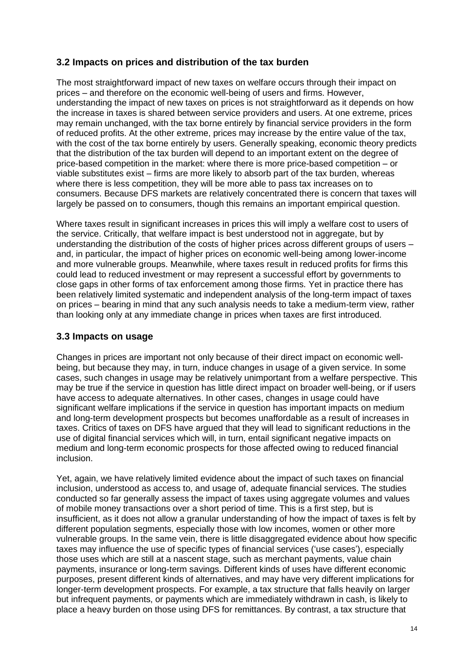#### **3.2 Impacts on prices and distribution of the tax burden**

The most straightforward impact of new taxes on welfare occurs through their impact on prices – and therefore on the economic well-being of users and firms. However, understanding the impact of new taxes on prices is not straightforward as it depends on how the increase in taxes is shared between service providers and users. At one extreme, prices may remain unchanged, with the tax borne entirely by financial service providers in the form of reduced profits. At the other extreme, prices may increase by the entire value of the tax, with the cost of the tax borne entirely by users. Generally speaking, economic theory predicts that the distribution of the tax burden will depend to an important extent on the degree of price-based competition in the market: where there is more price-based competition – or viable substitutes exist – firms are more likely to absorb part of the tax burden, whereas where there is less competition, they will be more able to pass tax increases on to consumers. Because DFS markets are relatively concentrated there is concern that taxes will largely be passed on to consumers, though this remains an important empirical question.

Where taxes result in significant increases in prices this will imply a welfare cost to users of the service. Critically, that welfare impact is best understood not in aggregate, but by understanding the distribution of the costs of higher prices across different groups of users – and, in particular, the impact of higher prices on economic well-being among lower-income and more vulnerable groups. Meanwhile, where taxes result in reduced profits for firms this could lead to reduced investment or may represent a successful effort by governments to close gaps in other forms of tax enforcement among those firms. Yet in practice there has been relatively limited systematic and independent analysis of the long-term impact of taxes on prices – bearing in mind that any such analysis needs to take a medium-term view, rather than looking only at any immediate change in prices when taxes are first introduced.

#### **3.3 Impacts on usage**

Changes in prices are important not only because of their direct impact on economic wellbeing, but because they may, in turn, induce changes in usage of a given service. In some cases, such changes in usage may be relatively unimportant from a welfare perspective. This may be true if the service in question has little direct impact on broader well-being, or if users have access to adequate alternatives. In other cases, changes in usage could have significant welfare implications if the service in question has important impacts on medium and long-term development prospects but becomes unaffordable as a result of increases in taxes. Critics of taxes on DFS have argued that they will lead to significant reductions in the use of digital financial services which will, in turn, entail significant negative impacts on medium and long-term economic prospects for those affected owing to reduced financial inclusion.

Yet, again, we have relatively limited evidence about the impact of such taxes on financial inclusion, understood as access to, and usage of, adequate financial services. The studies conducted so far generally assess the impact of taxes using aggregate volumes and values of mobile money transactions over a short period of time. This is a first step, but is insufficient, as it does not allow a granular understanding of how the impact of taxes is felt by different population segments, especially those with low incomes, women or other more vulnerable groups. In the same vein, there is little disaggregated evidence about how specific taxes may influence the use of specific types of financial services ('use cases'), especially those uses which are still at a nascent stage, such as merchant payments, value chain payments, insurance or long-term savings. Different kinds of uses have different economic purposes, present different kinds of alternatives, and may have very different implications for longer-term development prospects. For example, a tax structure that falls heavily on larger but infrequent payments, or payments which are immediately withdrawn in cash, is likely to place a heavy burden on those using DFS for remittances. By contrast, a tax structure that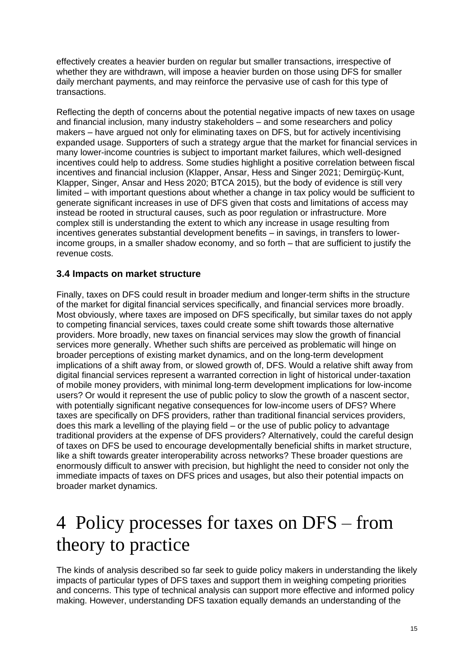effectively creates a heavier burden on regular but smaller transactions, irrespective of whether they are withdrawn, will impose a heavier burden on those using DFS for smaller daily merchant payments, and may reinforce the pervasive use of cash for this type of transactions.

Reflecting the depth of concerns about the potential negative impacts of new taxes on usage and financial inclusion, many industry stakeholders – and some researchers and policy makers – have argued not only for eliminating taxes on DFS, but for actively incentivising expanded usage. Supporters of such a strategy argue that the market for financial services in many lower-income countries is subject to important market failures, which well-designed incentives could help to address. Some studies highlight a positive correlation between fiscal incentives and financial inclusion (Klapper, Ansar, Hess and Singer 2021; Demirgüç-Kunt, Klapper, Singer, Ansar and Hess 2020; BTCA 2015), but the body of evidence is still very limited – with important questions about whether a change in tax policy would be sufficient to generate significant increases in use of DFS given that costs and limitations of access may instead be rooted in structural causes, such as poor regulation or infrastructure. More complex still is understanding the extent to which any increase in usage resulting from incentives generates substantial development benefits – in savings, in transfers to lowerincome groups, in a smaller shadow economy, and so forth – that are sufficient to justify the revenue costs.

#### **3.4 Impacts on market structure**

Finally, taxes on DFS could result in broader medium and longer-term shifts in the structure of the market for digital financial services specifically, and financial services more broadly. Most obviously, where taxes are imposed on DFS specifically, but similar taxes do not apply to competing financial services, taxes could create some shift towards those alternative providers. More broadly, new taxes on financial services may slow the growth of financial services more generally. Whether such shifts are perceived as problematic will hinge on broader perceptions of existing market dynamics, and on the long-term development implications of a shift away from, or slowed growth of, DFS. Would a relative shift away from digital financial services represent a warranted correction in light of historical under-taxation of mobile money providers, with minimal long-term development implications for low-income users? Or would it represent the use of public policy to slow the growth of a nascent sector, with potentially significant negative consequences for low-income users of DFS? Where taxes are specifically on DFS providers, rather than traditional financial services providers, does this mark a levelling of the playing field – or the use of public policy to advantage traditional providers at the expense of DFS providers? Alternatively, could the careful design of taxes on DFS be used to encourage developmentally beneficial shifts in market structure, like a shift towards greater interoperability across networks? These broader questions are enormously difficult to answer with precision, but highlight the need to consider not only the immediate impacts of taxes on DFS prices and usages, but also their potential impacts on broader market dynamics.

### 4 Policy processes for taxes on DFS – from theory to practice

The kinds of analysis described so far seek to guide policy makers in understanding the likely impacts of particular types of DFS taxes and support them in weighing competing priorities and concerns. This type of technical analysis can support more effective and informed policy making. However, understanding DFS taxation equally demands an understanding of the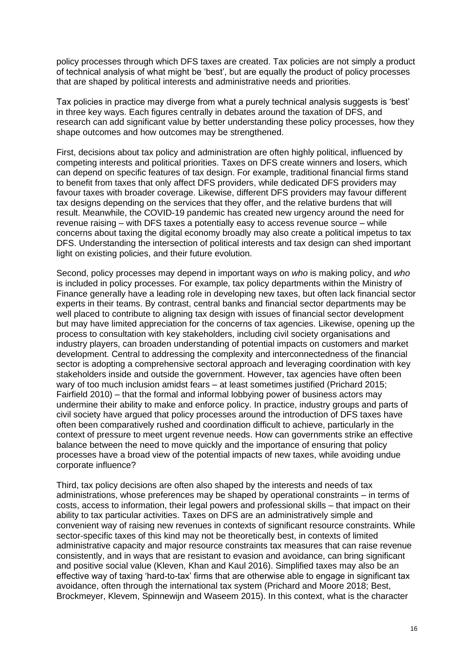policy processes through which DFS taxes are created. Tax policies are not simply a product of technical analysis of what might be 'best', but are equally the product of policy processes that are shaped by political interests and administrative needs and priorities.

Tax policies in practice may diverge from what a purely technical analysis suggests is 'best' in three key ways. Each figures centrally in debates around the taxation of DFS, and research can add significant value by better understanding these policy processes, how they shape outcomes and how outcomes may be strengthened.

First, decisions about tax policy and administration are often highly political, influenced by competing interests and political priorities. Taxes on DFS create winners and losers, which can depend on specific features of tax design. For example, traditional financial firms stand to benefit from taxes that only affect DFS providers, while dedicated DFS providers may favour taxes with broader coverage. Likewise, different DFS providers may favour different tax designs depending on the services that they offer, and the relative burdens that will result. Meanwhile, the COVID-19 pandemic has created new urgency around the need for revenue raising – with DFS taxes a potentially easy to access revenue source – while concerns about taxing the digital economy broadly may also create a political impetus to tax DFS. Understanding the intersection of political interests and tax design can shed important light on existing policies, and their future evolution.

Second, policy processes may depend in important ways on *who* is making policy, and *who*  is included in policy processes. For example, tax policy departments within the Ministry of Finance generally have a leading role in developing new taxes, but often lack financial sector experts in their teams. By contrast, central banks and financial sector departments may be well placed to contribute to aligning tax design with issues of financial sector development but may have limited appreciation for the concerns of tax agencies. Likewise, opening up the process to consultation with key stakeholders, including civil society organisations and industry players, can broaden understanding of potential impacts on customers and market development. Central to addressing the complexity and interconnectedness of the financial sector is adopting a comprehensive sectoral approach and leveraging coordination with key stakeholders inside and outside the government. However, tax agencies have often been wary of too much inclusion amidst fears – at least sometimes justified (Prichard 2015; Fairfield 2010) – that the formal and informal lobbying power of business actors may undermine their ability to make and enforce policy. In practice, industry groups and parts of civil society have argued that policy processes around the introduction of DFS taxes have often been comparatively rushed and coordination difficult to achieve, particularly in the context of pressure to meet urgent revenue needs. How can governments strike an effective balance between the need to move quickly and the importance of ensuring that policy processes have a broad view of the potential impacts of new taxes, while avoiding undue corporate influence?

Third, tax policy decisions are often also shaped by the interests and needs of tax administrations, whose preferences may be shaped by operational constraints – in terms of costs, access to information, their legal powers and professional skills – that impact on their ability to tax particular activities. Taxes on DFS are an administratively simple and convenient way of raising new revenues in contexts of significant resource constraints. While sector-specific taxes of this kind may not be theoretically best, in contexts of limited administrative capacity and major resource constraints tax measures that can raise revenue consistently, and in ways that are resistant to evasion and avoidance, can bring significant and positive social value (Kleven, Khan and Kaul 2016). Simplified taxes may also be an effective way of taxing 'hard-to-tax' firms that are otherwise able to engage in significant tax avoidance, often through the international tax system (Prichard and Moore 2018; Best, Brockmeyer, Klevem, Spinnewijn and Waseem 2015). In this context, what is the character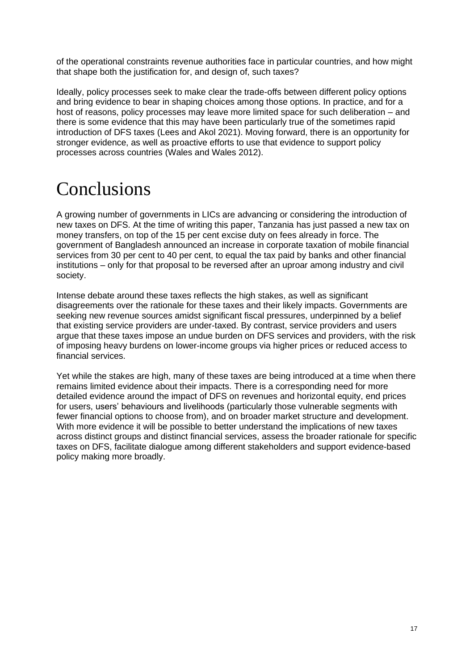of the operational constraints revenue authorities face in particular countries, and how might that shape both the justification for, and design of, such taxes?

Ideally, policy processes seek to make clear the trade-offs between different policy options and bring evidence to bear in shaping choices among those options. In practice, and for a host of reasons, policy processes may leave more limited space for such deliberation – and there is some evidence that this may have been particularly true of the sometimes rapid introduction of DFS taxes (Lees and Akol 2021). Moving forward, there is an opportunity for stronger evidence, as well as proactive efforts to use that evidence to support policy processes across countries (Wales and Wales 2012).

### Conclusions

A growing number of governments in LICs are advancing or considering the introduction of new taxes on DFS. At the time of writing this paper, Tanzania has just passed a new tax on money transfers, on top of the 15 per cent excise duty on fees already in force. The government of Bangladesh announced an increase in corporate taxation of mobile financial services from 30 per cent to 40 per cent, to equal the tax paid by banks and other financial institutions – only for that proposal to be reversed after an uproar among industry and civil society.

Intense debate around these taxes reflects the high stakes, as well as significant disagreements over the rationale for these taxes and their likely impacts. Governments are seeking new revenue sources amidst significant fiscal pressures, underpinned by a belief that existing service providers are under-taxed. By contrast, service providers and users argue that these taxes impose an undue burden on DFS services and providers, with the risk of imposing heavy burdens on lower-income groups via higher prices or reduced access to financial services.

Yet while the stakes are high, many of these taxes are being introduced at a time when there remains limited evidence about their impacts. There is a corresponding need for more detailed evidence around the impact of DFS on revenues and horizontal equity, end prices for users, users' behaviours and livelihoods (particularly those vulnerable segments with fewer financial options to choose from), and on broader market structure and development. With more evidence it will be possible to better understand the implications of new taxes across distinct groups and distinct financial services, assess the broader rationale for specific taxes on DFS, facilitate dialogue among different stakeholders and support evidence-based policy making more broadly.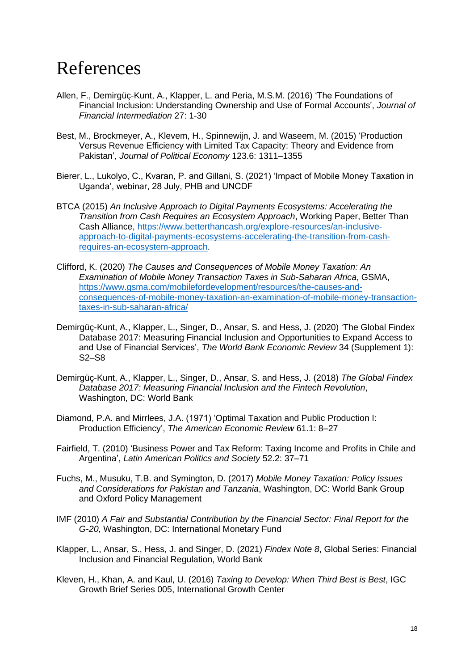### References

- Allen, F., Demirgüç-Kunt, A., Klapper, L. and Peria, M.S.M. (2016) 'The Foundations of Financial Inclusion: Understanding Ownership and Use of Formal Accounts', *Journal of Financial Intermediation* 27: 1-30
- Best, M., Brockmeyer, A., Klevem, H., Spinnewijn, J. and Waseem, M. (2015) 'Production Versus Revenue Efficiency with Limited Tax Capacity: Theory and Evidence from Pakistan', *Journal of Political Economy* 123.6: 1311–1355
- Bierer, L., Lukolyo, C., Kvaran, P. and Gillani, S. (2021) 'Impact of Mobile Money Taxation in Uganda', webinar, 28 July, PHB and UNCDF
- BTCA (2015) *An Inclusive Approach to Digital Payments Ecosystems: Accelerating the Transition from Cash Requires an Ecosystem Approach*, Working Paper, Better Than Cash Alliance, [https://www.betterthancash.org/explore-resources/an-inclusive](https://www.betterthancash.org/explore-resources/an-inclusive-approach-to-digital-payments-ecosystems-accelerating-the-transition-from-cash-requires-an-ecosystem-approach)[approach-to-digital-payments-ecosystems-accelerating-the-transition-from-cash](https://www.betterthancash.org/explore-resources/an-inclusive-approach-to-digital-payments-ecosystems-accelerating-the-transition-from-cash-requires-an-ecosystem-approach)[requires-an-ecosystem-approach.](https://www.betterthancash.org/explore-resources/an-inclusive-approach-to-digital-payments-ecosystems-accelerating-the-transition-from-cash-requires-an-ecosystem-approach)
- Clifford, K. (2020) *The Causes and Consequences of Mobile Money Taxation: An Examination of Mobile Money Transaction Taxes in Sub-Saharan Africa*, GSMA, [https://www.gsma.com/mobilefordevelopment/resources/the-causes-and](https://www.gsma.com/mobilefordevelopment/resources/the-causes-and-consequences-of-mobile-money-taxation-an-examination-of-mobile-money-transaction-taxes-in-sub-saharan-africa/)[consequences-of-mobile-money-taxation-an-examination-of-mobile-money-transaction](https://www.gsma.com/mobilefordevelopment/resources/the-causes-and-consequences-of-mobile-money-taxation-an-examination-of-mobile-money-transaction-taxes-in-sub-saharan-africa/)[taxes-in-sub-saharan-africa/](https://www.gsma.com/mobilefordevelopment/resources/the-causes-and-consequences-of-mobile-money-taxation-an-examination-of-mobile-money-transaction-taxes-in-sub-saharan-africa/)
- Demirgüç-Kunt, A., Klapper, L., Singer, D., Ansar, S. and Hess, J. (2020) 'The Global Findex Database 2017: Measuring Financial Inclusion and Opportunities to Expand Access to and Use of Financial Services', *The World Bank Economic Review* 34 (Supplement 1): S2–S8
- Demirgüç-Kunt, A., Klapper, L., Singer, D., Ansar, S. and Hess, J. (2018) *The Global Findex Database 2017: Measuring Financial Inclusion and the Fintech Revolution*, Washington, DC: World Bank
- Diamond, P.A. and Mirrlees, J.A. (1971) 'Optimal Taxation and Public Production I: Production Efficiency', *The American Economic Review* 61.1: 8–27
- Fairfield, T. (2010) 'Business Power and Tax Reform: Taxing Income and Profits in Chile and Argentina', *Latin American Politics and Society* 52.2: 37–71
- Fuchs, M., Musuku, T.B. and Symington, D. (2017) *Mobile Money Taxation: Policy Issues and Considerations for Pakistan and Tanzania*, Washington, DC: World Bank Group and Oxford Policy Management
- IMF (2010) *A Fair and Substantial Contribution by the Financial Sector: Final Report for the G-20*, Washington, DC: International Monetary Fund
- Klapper, L., Ansar, S., Hess, J. and Singer, D. (2021) *Findex Note 8*, Global Series: Financial Inclusion and Financial Regulation, World Bank
- Kleven, H., Khan, A. and Kaul, U. (2016) *Taxing to Develop: When Third Best is Best*, IGC Growth Brief Series 005, International Growth Center